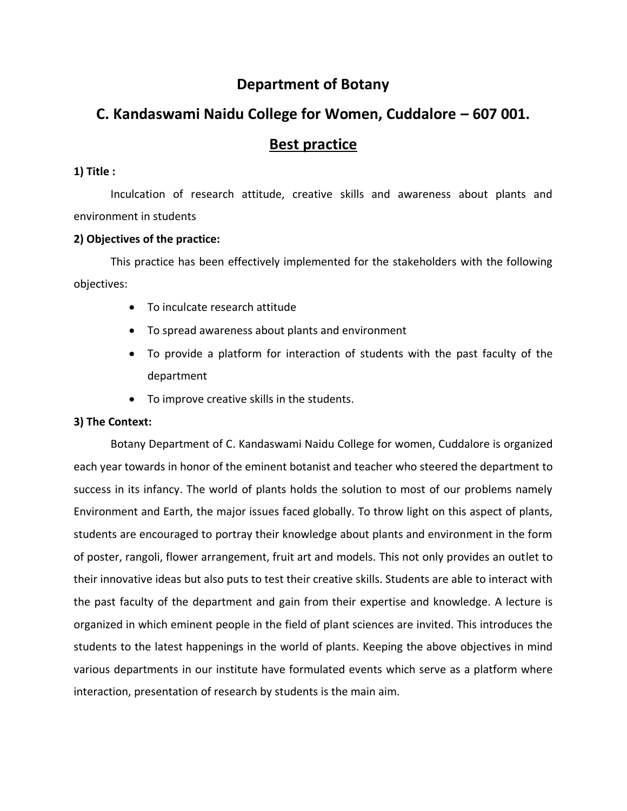# **Department of Botany**

# **C. Kandaswami Naidu College for Women, Cuddalore – 607 001.**

## **Best practice**

## **1) Title :**

Inculcation of research attitude, creative skills and awareness about plants and environment in students

## **2) Objectives of the practice:**

This practice has been effectively implemented for the stakeholders with the following objectives:

- To inculcate research attitude
- To spread awareness about plants and environment
- To provide a platform for interaction of students with the past faculty of the department
- To improve creative skills in the students.

## **3) The Context:**

Botany Department of C. Kandaswami Naidu College for women, Cuddalore is organized each year towards in honor of the eminent botanist and teacher who steered the department to success in its infancy. The world of plants holds the solution to most of our problems namely Environment and Earth, the major issues faced globally. To throw light on this aspect of plants, students are encouraged to portray their knowledge about plants and environment in the form of poster, rangoli, flower arrangement, fruit art and models. This not only provides an outlet to their innovative ideas but also puts to test their creative skills. Students are able to interact with the past faculty of the department and gain from their expertise and knowledge. A lecture is organized in which eminent people in the field of plant sciences are invited. This introduces the students to the latest happenings in the world of plants. Keeping the above objectives in mind various departments in our institute have formulated events which serve as a platform where interaction, presentation of research by students is the main aim.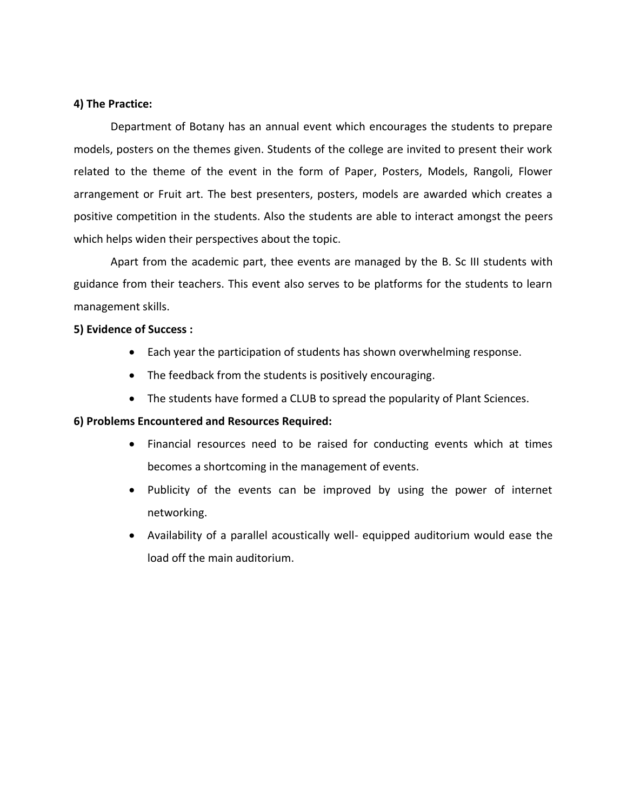## **4) The Practice:**

Department of Botany has an annual event which encourages the students to prepare models, posters on the themes given. Students of the college are invited to present their work related to the theme of the event in the form of Paper, Posters, Models, Rangoli, Flower arrangement or Fruit art. The best presenters, posters, models are awarded which creates a positive competition in the students. Also the students are able to interact amongst the peers which helps widen their perspectives about the topic.

Apart from the academic part, thee events are managed by the B. Sc III students with guidance from their teachers. This event also serves to be platforms for the students to learn management skills.

#### **5) Evidence of Success :**

- Each year the participation of students has shown overwhelming response.
- The feedback from the students is positively encouraging.
- The students have formed a CLUB to spread the popularity of Plant Sciences.

#### **6) Problems Encountered and Resources Required:**

- Financial resources need to be raised for conducting events which at times becomes a shortcoming in the management of events.
- Publicity of the events can be improved by using the power of internet networking.
- Availability of a parallel acoustically well- equipped auditorium would ease the load off the main auditorium.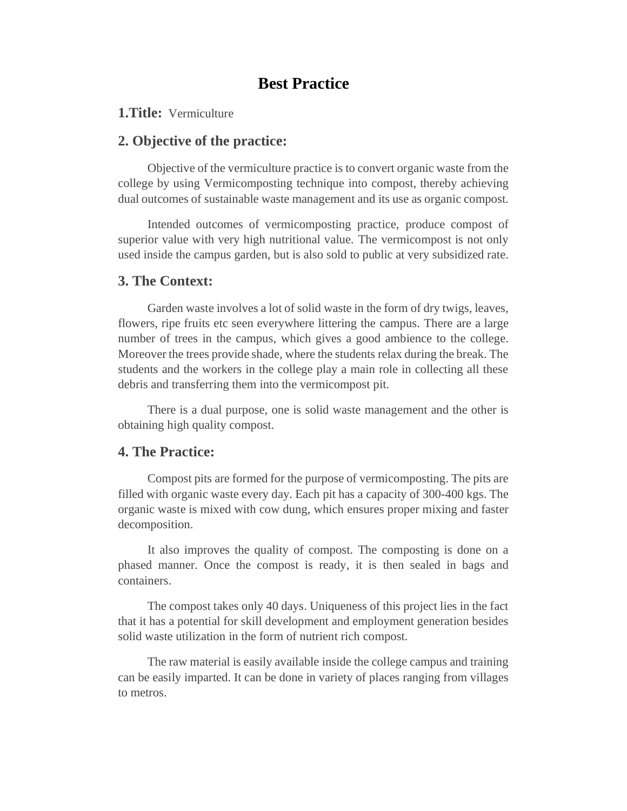# **Best Practice**

## **1.Title:** Vermiculture

## **2. Objective of the practice:**

Objective of the vermiculture practice is to convert organic waste from the college by using Vermicomposting technique into compost, thereby achieving dual outcomes of sustainable waste management and its use as organic compost.

Intended outcomes of vermicomposting practice, produce compost of superior value with very high nutritional value. The vermicompost is not only used inside the campus garden, but is also sold to public at very subsidized rate.

## **3. The Context:**

Garden waste involves a lot of solid waste in the form of dry twigs, leaves, flowers, ripe fruits etc seen everywhere littering the campus. There are a large number of trees in the campus, which gives a good ambience to the college. Moreover the trees provide shade, where the students relax during the break. The students and the workers in the college play a main role in collecting all these debris and transferring them into the vermicompost pit.

There is a dual purpose, one is solid waste management and the other is obtaining high quality compost.

## **4. The Practice:**

Compost pits are formed for the purpose of vermicomposting. The pits are filled with organic waste every day. Each pit has a capacity of 300-400 kgs. The organic waste is mixed with cow dung, which ensures proper mixing and faster decomposition.

It also improves the quality of compost. The composting is done on a phased manner. Once the compost is ready, it is then sealed in bags and containers.

The compost takes only 40 days. Uniqueness of this project lies in the fact that it has a potential for skill development and employment generation besides solid waste utilization in the form of nutrient rich compost.

The raw material is easily available inside the college campus and training can be easily imparted. It can be done in variety of places ranging from villages to metros.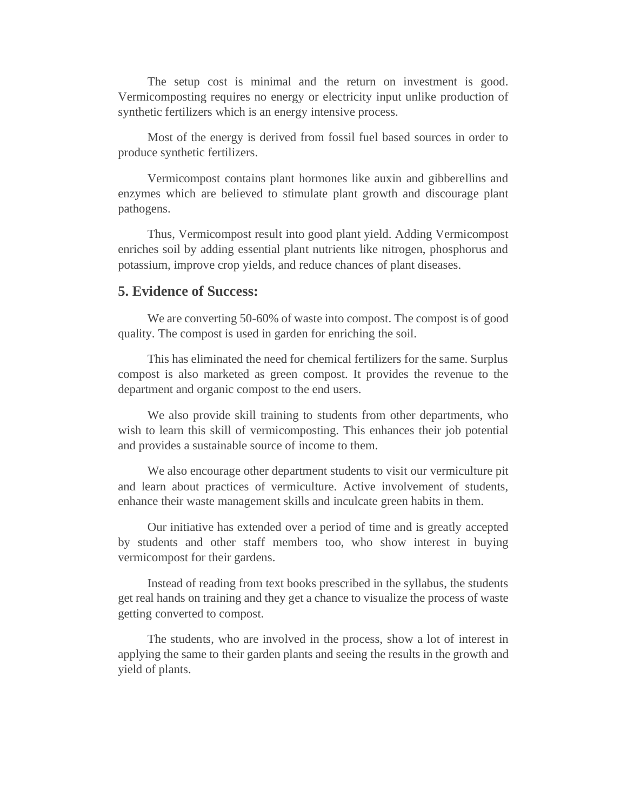The setup cost is minimal and the return on investment is good. Vermicomposting requires no energy or electricity input unlike production of synthetic fertilizers which is an energy intensive process.

Most of the energy is derived from fossil fuel based sources in order to produce synthetic fertilizers.

Vermicompost contains plant hormones like auxin and gibberellins and enzymes which are believed to stimulate plant growth and discourage plant pathogens.

Thus, Vermicompost result into good plant yield. Adding Vermicompost enriches soil by adding essential plant nutrients like nitrogen, phosphorus and potassium, improve crop yields, and reduce chances of plant diseases.

## **5. Evidence of Success:**

We are converting 50-60% of waste into compost. The compost is of good quality. The compost is used in garden for enriching the soil.

This has eliminated the need for chemical fertilizers for the same. Surplus compost is also marketed as green compost. It provides the revenue to the department and organic compost to the end users.

We also provide skill training to students from other departments, who wish to learn this skill of vermicomposting. This enhances their job potential and provides a sustainable source of income to them.

We also encourage other department students to visit our vermiculture pit and learn about practices of vermiculture. Active involvement of students, enhance their waste management skills and inculcate green habits in them.

Our initiative has extended over a period of time and is greatly accepted by students and other staff members too, who show interest in buying vermicompost for their gardens.

Instead of reading from text books prescribed in the syllabus, the students get real hands on training and they get a chance to visualize the process of waste getting converted to compost.

The students, who are involved in the process, show a lot of interest in applying the same to their garden plants and seeing the results in the growth and yield of plants.